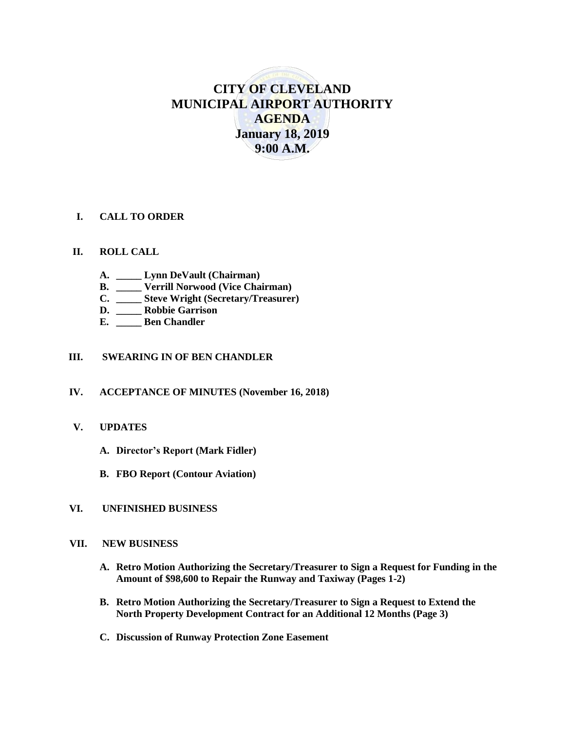# **CITY OF CLEVELAND MUNICIPAL AIRPORT AUTHORITY AGENDA January 18, 2019 9:00 A.M.**

#### **I. CALL TO ORDER**

#### **II. ROLL CALL**

- **A. \_\_\_\_\_ Lynn DeVault (Chairman)**
- **B. \_\_\_\_\_ Verrill Norwood (Vice Chairman)**
- **C. \_\_\_\_\_ Steve Wright (Secretary/Treasurer)**
- **D. \_\_\_\_\_ Robbie Garrison**
- **E. \_\_\_\_\_ Ben Chandler**

#### **III. SWEARING IN OF BEN CHANDLER**

#### **IV. ACCEPTANCE OF MINUTES (November 16, 2018)**

#### **V. UPDATES**

- **A. Director's Report (Mark Fidler)**
- **B. FBO Report (Contour Aviation)**

#### **VI. UNFINISHED BUSINESS**

#### **VII. NEW BUSINESS**

- **A. Retro Motion Authorizing the Secretary/Treasurer to Sign a Request for Funding in the Amount of \$98,600 to Repair the Runway and Taxiway (Pages 1-2)**
- **B. Retro Motion Authorizing the Secretary/Treasurer to Sign a Request to Extend the North Property Development Contract for an Additional 12 Months (Page 3)**
- **C. Discussion of Runway Protection Zone Easement**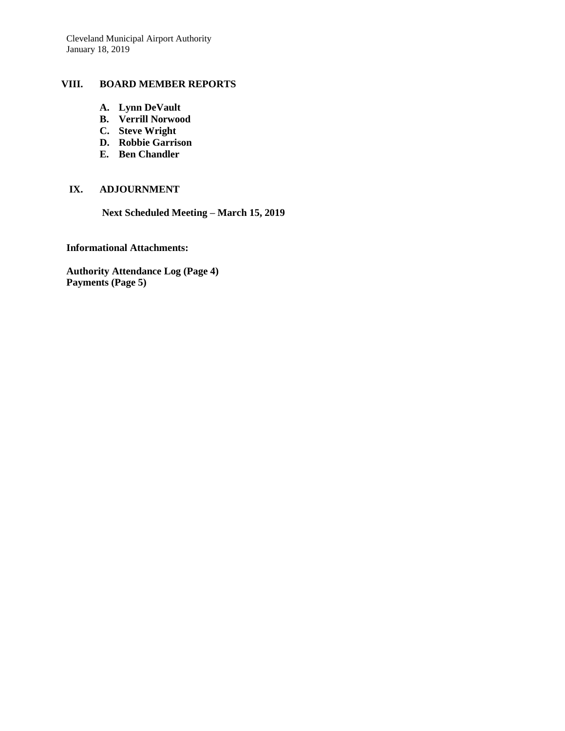#### **VIII. BOARD MEMBER REPORTS**

- **A. Lynn DeVault**
- **B. Verrill Norwood**
- **C. Steve Wright**
- **D. Robbie Garrison**
- **E. Ben Chandler**

#### **IX. ADJOURNMENT**

 **Next Scheduled Meeting – March 15, 2019**

#### **Informational Attachments:**

**Authority Attendance Log (Page 4) Payments (Page 5)**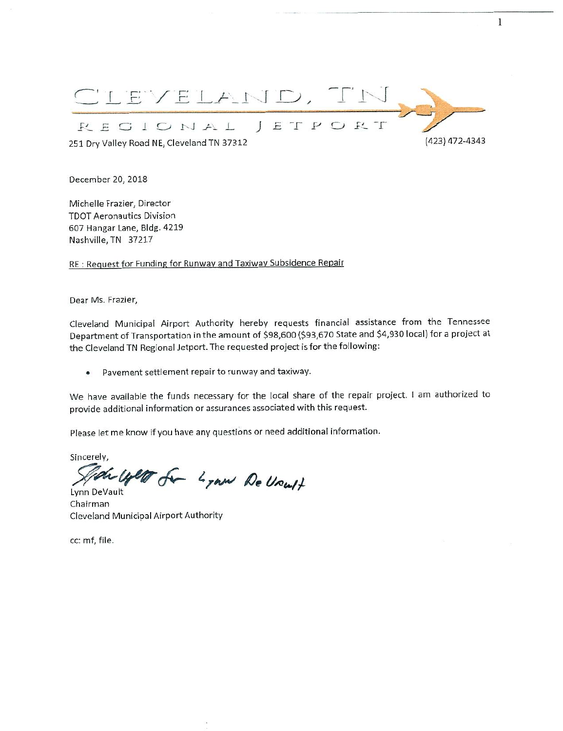

1

December 20, 2018

Michelle Frazier, Director TDOT Aeronautics Division 607 Hangar Lane, BIdg. 4219 Nashville, TN 37217

RE: Request for Funding for Runway and Taxiway Subsidence Repair

Dear Ms. Frazier,

Cleveland Municipal Airport Authority hereby requests financial assistance from the Tennessee Department of Transportation in the amount of \$98,600 (\$93,670 State and \$4,930 local) for a project at the Cleveland TN Regional Jetport. The requested project is for the following;

• Pavement settlement repair to runway and taxiway.

We have available the funds necessary for the local share of the repair project. I am authorized to provide additional information or assurances associated with this request.

Please let me know if you have any questions or need additional information.

sincerely,<br>September of Lynn De Vreutt

Lynn DeVault Chairman Cleveland Municipal Airport Authority

cc: mf, file.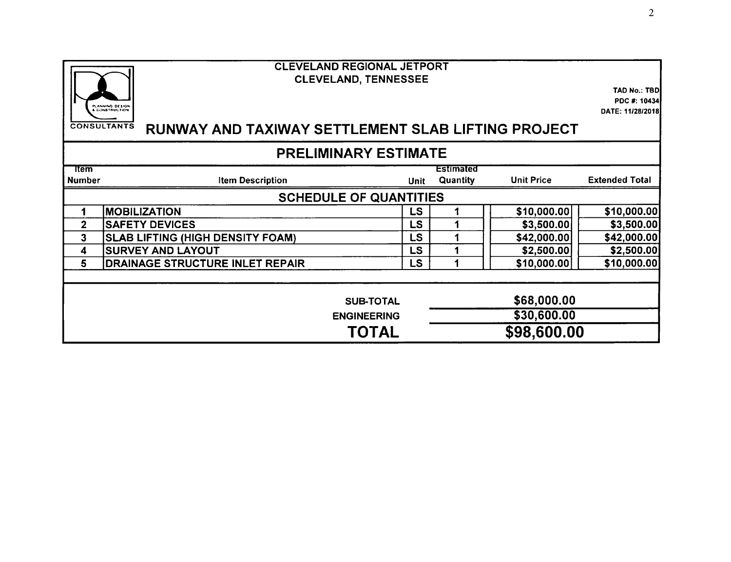|                               | <b>CLEVELAND REGIONAL JETPORT</b><br><b>CLEVELAND, TENNESSEE</b><br>PLANNING DESIGN<br>& CONSTRUCTION<br><b>CONSULTANTS</b><br>RUNWAY AND TAXIWAY SETTLEMENT SLAB LIFTING PROJECT |             |                              |                                           | <b>TAD No.: TBD</b><br>PDC #: 10434<br>DATE: 11/28/2018 |  |  |  |  |  |
|-------------------------------|-----------------------------------------------------------------------------------------------------------------------------------------------------------------------------------|-------------|------------------------------|-------------------------------------------|---------------------------------------------------------|--|--|--|--|--|
| <b>PRELIMINARY ESTIMATE</b>   |                                                                                                                                                                                   |             |                              |                                           |                                                         |  |  |  |  |  |
| <b>Item</b><br><b>Number</b>  | <b>Item Description</b>                                                                                                                                                           | <b>Unit</b> | Estimated<br><b>Quantity</b> | <b>Unit Price</b>                         | <b>Extended Total</b>                                   |  |  |  |  |  |
| <b>SCHEDULE OF QUANTITIES</b> |                                                                                                                                                                                   |             |                              |                                           |                                                         |  |  |  |  |  |
| 1                             | <b>MOBILIZATION</b>                                                                                                                                                               | LS          |                              | \$10,000.00                               | \$10,000.00                                             |  |  |  |  |  |
| $\overline{2}$                | <b>SAFETY DEVICES</b>                                                                                                                                                             | LS          |                              | \$3,500.00                                | \$3,500.00                                              |  |  |  |  |  |
| 3                             | <b>SLAB LIFTING (HIGH DENSITY FOAM)</b>                                                                                                                                           | <b>LS</b>   |                              | \$42,000.00                               | \$42,000.00                                             |  |  |  |  |  |
| 4                             | <b>SURVEY AND LAYOUT</b>                                                                                                                                                          | <b>LS</b>   |                              | \$2,500.00                                | \$2,500.00                                              |  |  |  |  |  |
| 5                             | DRAINAGE STRUCTURE INLET REPAIR                                                                                                                                                   | <b>LS</b>   |                              | \$10,000.00                               | \$10,000.00                                             |  |  |  |  |  |
|                               | <b>SUB-TOTAL</b><br><b>ENGINEERING</b><br>TOTAL                                                                                                                                   |             |                              | \$68,000.00<br>\$30,600.00<br>\$98,600.00 |                                                         |  |  |  |  |  |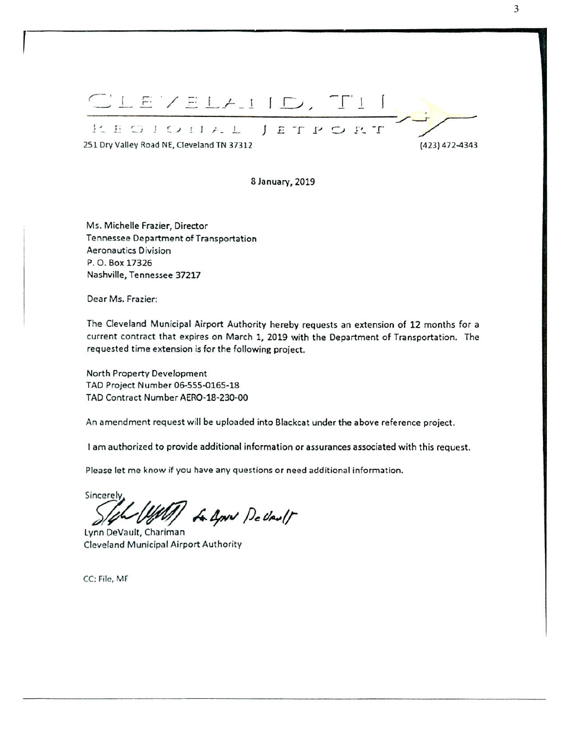1 1 1 1 1 1 1 I'- II C-V I L J E T P O R T 2S1 Dry Valley Road NE, Oeveland TN 37312 (423) 472-4343

8 January, 2019

Ms. Michelle Frazier, Director Tennessee Department of Transportation Aeronautics Division P. O. Box 17326 Nashville, Tennessee 37217

Dear Ms. Frazier:

The Cleveland Municipal Airport Authority hereby requests an extension of 12 months for a current contract that expires on March 1, 2019 with the Department of Transportation. The requested time extension is for the following project.

North Property Development TAD Project Number 06-55S-0165-18 TAD Contract NumberAERO-18-230-00

An amendment request will be uploaded into Blackcat under the above reference project.

I am authorized to provide additional information or assurances associated with this request.

Please let me know If you have any questions or need additional information.

Sincerely (Well) A April DeVault

Lynn DeVault, Chariman Cleveland Municipal Airport Authority

CC: File, MF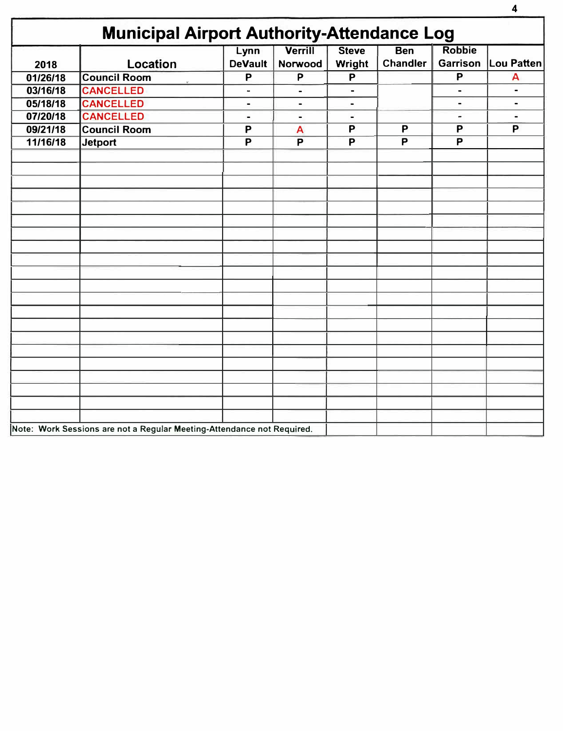| 2018     | Location            | Lynn<br><b>DeVault</b> | <b>Verrill</b><br>Norwood | <b>Steve</b><br>Wright | <b>Ben</b><br><b>Chandler</b> | <b>Robbie</b><br><b>Garrison</b> | Lou Patten     |
|----------|---------------------|------------------------|---------------------------|------------------------|-------------------------------|----------------------------------|----------------|
| 01/26/18 | <b>Council Room</b> | P                      | P                         | P                      |                               | P                                | A              |
| 03/16/18 | <b>CANCELLED</b>    | ۰                      | $\blacksquare$            | $\blacksquare$         |                               | $\qquad \qquad \blacksquare$     | ٠              |
| 05/18/18 | <b>CANCELLED</b>    | -                      | $\blacksquare$            | $\blacksquare$         |                               | $\qquad \qquad \blacksquare$     |                |
| 07/20/18 | <b>CANCELLED</b>    | $\blacksquare$         | $\blacksquare$            | $\blacksquare$         |                               | $\overline{\phantom{a}}$         | $\blacksquare$ |
| 09/21/18 | <b>Council Room</b> | P                      | A                         | P                      | P                             | P                                | P              |
| 11/16/18 | <b>Jetport</b>      | P                      | P                         | P                      | P                             | P                                |                |
|          |                     |                        |                           |                        |                               |                                  |                |
|          |                     |                        |                           |                        |                               |                                  |                |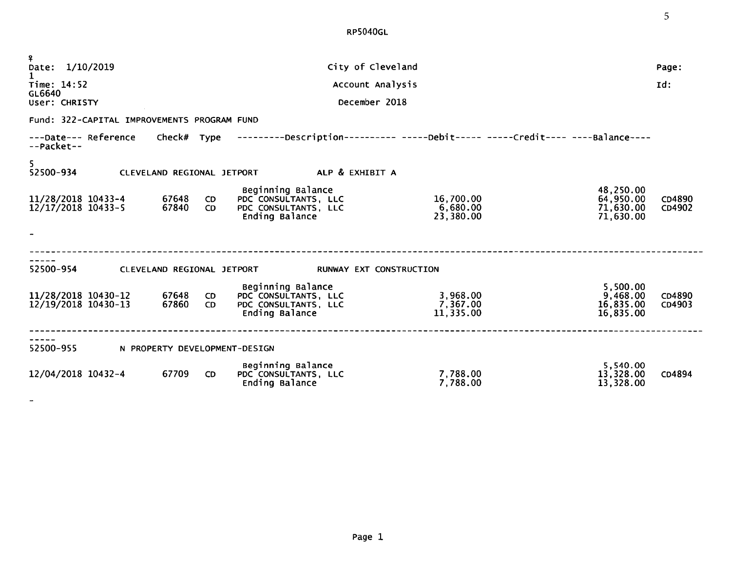RP5040GL

| ¥.<br>Date: 1/10/2019                       |  |                               |                  | City of Cleveland                                                                                              |                                    |                                                  | Page:            |  |  |
|---------------------------------------------|--|-------------------------------|------------------|----------------------------------------------------------------------------------------------------------------|------------------------------------|--------------------------------------------------|------------------|--|--|
|                                             |  |                               |                  |                                                                                                                |                                    |                                                  |                  |  |  |
| Time: 14:52<br>GL6640                       |  |                               |                  | Account Analysis                                                                                               |                                    |                                                  | Id:              |  |  |
| December 2018<br>User: CHRISTY              |  |                               |                  |                                                                                                                |                                    |                                                  |                  |  |  |
| Fund: 322-CAPITAL IMPROVEMENTS PROGRAM FUND |  |                               |                  |                                                                                                                |                                    |                                                  |                  |  |  |
| --Packet--                                  |  |                               |                  | ---Date--- Reference Check# Type ---------Description--------- -----Debit----- -----Credit---- ----Balance---- |                                    |                                                  |                  |  |  |
| 5<br>52500-934                              |  |                               |                  | CLEVELAND REGIONAL JETPORT ALP & EXHIBIT A                                                                     |                                    |                                                  |                  |  |  |
| 11/28/2018 10433-4<br>$12/17/2018$ 10433-5  |  | 67648<br>67840                | CD.<br>CD.       | Beginning Balance<br>PDC CONSULTANTS, LLC<br>PDC CONSULTANTS, LLC<br>Ending Balance                            | 16,700.00<br>6,680.00<br>23,380.00 | 48,250.00<br>64,950.00<br>71,630.00<br>71,630.00 | CD4890<br>CD4902 |  |  |
| 52500-954                                   |  |                               |                  | CLEVELAND REGIONAL JETPORT<br>RUNWAY EXT CONSTRUCTION                                                          |                                    |                                                  |                  |  |  |
| 11/28/2018 10430-12<br>12/19/2018 10430-13  |  | 67648<br>67860                | <b>CD</b><br>CD. | Beginning Balance<br>PDC CONSULTANTS, LLC<br>PDC CONSULTANTS, LLC<br>Ending Balance                            | 3,968.00<br>7,367.00<br>11,335.00  | 5,500.00<br>9,468.00<br>16,835.00<br>16,835.00   | CD4890<br>CD4903 |  |  |
| 52500-955                                   |  | N PROPERTY DEVELOPMENT-DESIGN |                  |                                                                                                                |                                    |                                                  |                  |  |  |
| 12/04/2018 10432-4                          |  | 67709                         | CD.              | Beginning Balance<br>PDC CONSULTANTS, LLC<br>Ending Balance                                                    | 7,788.00<br>7,788.00               | 5,540.00<br>13,328.00<br>13,328.00               | CD4894           |  |  |

 $\overline{\phantom{a}}$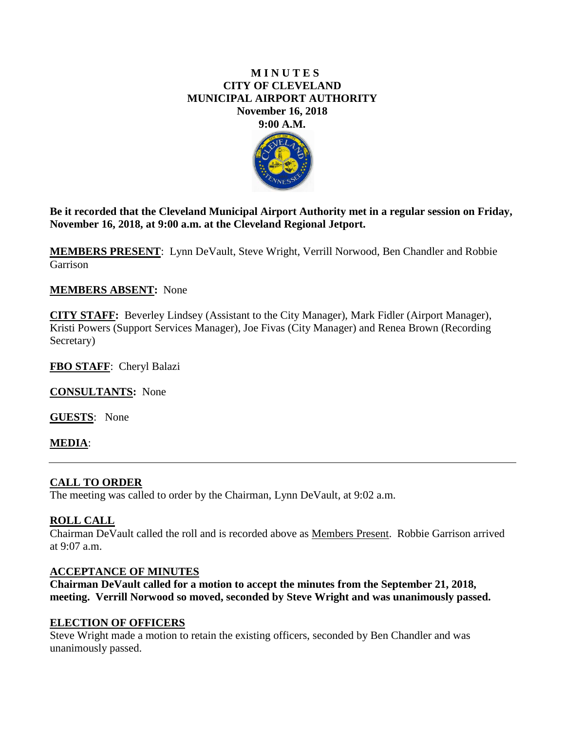### **M I N U T E S CITY OF CLEVELAND MUNICIPAL AIRPORT AUTHORITY November 16, 2018 9:00 A.M.**



**Be it recorded that the Cleveland Municipal Airport Authority met in a regular session on Friday, November 16, 2018, at 9:00 a.m. at the Cleveland Regional Jetport.**

**MEMBERS PRESENT**: Lynn DeVault, Steve Wright, Verrill Norwood, Ben Chandler and Robbie Garrison

### **MEMBERS ABSENT:** None

**CITY STAFF:** Beverley Lindsey (Assistant to the City Manager), Mark Fidler (Airport Manager), Kristi Powers (Support Services Manager), Joe Fivas (City Manager) and Renea Brown (Recording Secretary)

**FBO STAFF**: Cheryl Balazi

**CONSULTANTS:** None

**GUESTS**: None

### **MEDIA**:

### **CALL TO ORDER**

The meeting was called to order by the Chairman, Lynn DeVault, at 9:02 a.m.

### **ROLL CALL**

Chairman DeVault called the roll and is recorded above as Members Present. Robbie Garrison arrived at 9:07 a.m.

### **ACCEPTANCE OF MINUTES**

**Chairman DeVault called for a motion to accept the minutes from the September 21, 2018, meeting. Verrill Norwood so moved, seconded by Steve Wright and was unanimously passed.** 

### **ELECTION OF OFFICERS**

Steve Wright made a motion to retain the existing officers, seconded by Ben Chandler and was unanimously passed.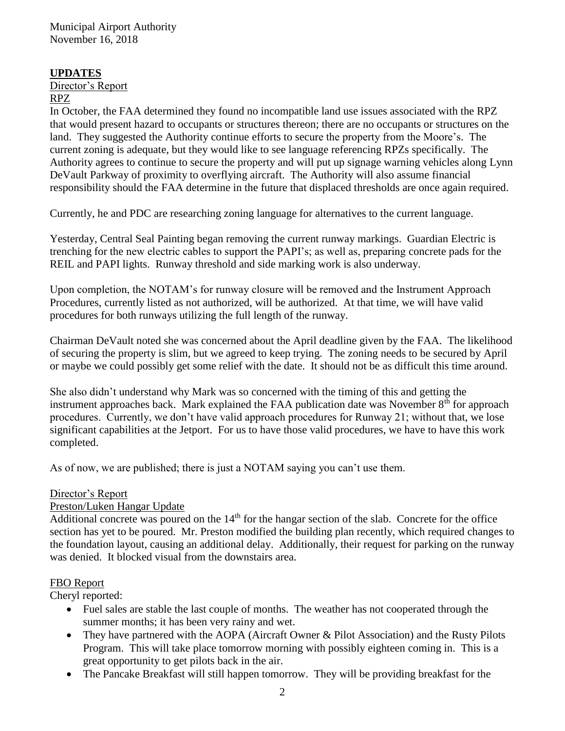### **UPDATES**

Director's Report RPZ

In October, the FAA determined they found no incompatible land use issues associated with the RPZ that would present hazard to occupants or structures thereon; there are no occupants or structures on the land. They suggested the Authority continue efforts to secure the property from the Moore's. The current zoning is adequate, but they would like to see language referencing RPZs specifically. The Authority agrees to continue to secure the property and will put up signage warning vehicles along Lynn DeVault Parkway of proximity to overflying aircraft. The Authority will also assume financial responsibility should the FAA determine in the future that displaced thresholds are once again required.

Currently, he and PDC are researching zoning language for alternatives to the current language.

Yesterday, Central Seal Painting began removing the current runway markings. Guardian Electric is trenching for the new electric cables to support the PAPI's; as well as, preparing concrete pads for the REIL and PAPI lights. Runway threshold and side marking work is also underway.

Upon completion, the NOTAM's for runway closure will be removed and the Instrument Approach Procedures, currently listed as not authorized, will be authorized. At that time, we will have valid procedures for both runways utilizing the full length of the runway.

Chairman DeVault noted she was concerned about the April deadline given by the FAA. The likelihood of securing the property is slim, but we agreed to keep trying. The zoning needs to be secured by April or maybe we could possibly get some relief with the date. It should not be as difficult this time around.

She also didn't understand why Mark was so concerned with the timing of this and getting the instrument approaches back. Mark explained the FAA publication date was November  $8<sup>th</sup>$  for approach procedures. Currently, we don't have valid approach procedures for Runway 21; without that, we lose significant capabilities at the Jetport. For us to have those valid procedures, we have to have this work completed.

As of now, we are published; there is just a NOTAM saying you can't use them.

# Director's Report

# Preston/Luken Hangar Update

Additional concrete was poured on the 14<sup>th</sup> for the hangar section of the slab. Concrete for the office section has yet to be poured. Mr. Preston modified the building plan recently, which required changes to the foundation layout, causing an additional delay. Additionally, their request for parking on the runway was denied. It blocked visual from the downstairs area.

# FBO Report

Cheryl reported:

- Fuel sales are stable the last couple of months. The weather has not cooperated through the summer months; it has been very rainy and wet.
- They have partnered with the AOPA (Aircraft Owner & Pilot Association) and the Rusty Pilots Program. This will take place tomorrow morning with possibly eighteen coming in. This is a great opportunity to get pilots back in the air.
- The Pancake Breakfast will still happen tomorrow. They will be providing breakfast for the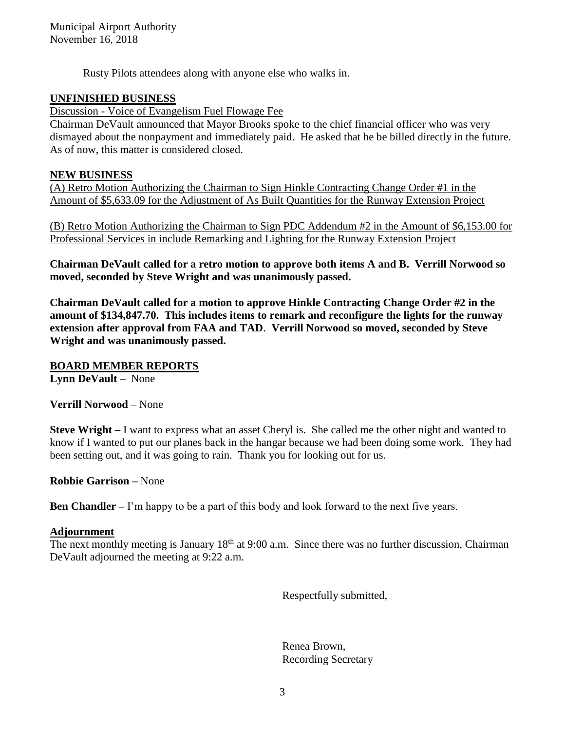Rusty Pilots attendees along with anyone else who walks in.

# **UNFINISHED BUSINESS**

Discussion - Voice of Evangelism Fuel Flowage Fee

Chairman DeVault announced that Mayor Brooks spoke to the chief financial officer who was very dismayed about the nonpayment and immediately paid. He asked that he be billed directly in the future. As of now, this matter is considered closed.

### **NEW BUSINESS**

(A) Retro Motion Authorizing the Chairman to Sign Hinkle Contracting Change Order #1 in the Amount of \$5,633.09 for the Adjustment of As Built Quantities for the Runway Extension Project

(B) Retro Motion Authorizing the Chairman to Sign PDC Addendum #2 in the Amount of \$6,153.00 for Professional Services in include Remarking and Lighting for the Runway Extension Project

**Chairman DeVault called for a retro motion to approve both items A and B. Verrill Norwood so moved, seconded by Steve Wright and was unanimously passed.**

**Chairman DeVault called for a motion to approve Hinkle Contracting Change Order #2 in the amount of \$134,847.70. This includes items to remark and reconfigure the lights for the runway extension after approval from FAA and TAD**. **Verrill Norwood so moved, seconded by Steve Wright and was unanimously passed.** 

**BOARD MEMBER REPORTS Lynn DeVault** – None

**Verrill Norwood** – None

**Steve Wright –** I want to express what an asset Cheryl is. She called me the other night and wanted to know if I wanted to put our planes back in the hangar because we had been doing some work. They had been setting out, and it was going to rain. Thank you for looking out for us.

**Robbie Garrison –** None

**Ben Chandler –** I'm happy to be a part of this body and look forward to the next five years.

### **Adjournment**

The next monthly meeting is January  $18<sup>th</sup>$  at 9:00 a.m. Since there was no further discussion, Chairman DeVault adjourned the meeting at 9:22 a.m.

Respectfully submitted,

Renea Brown, Recording Secretary